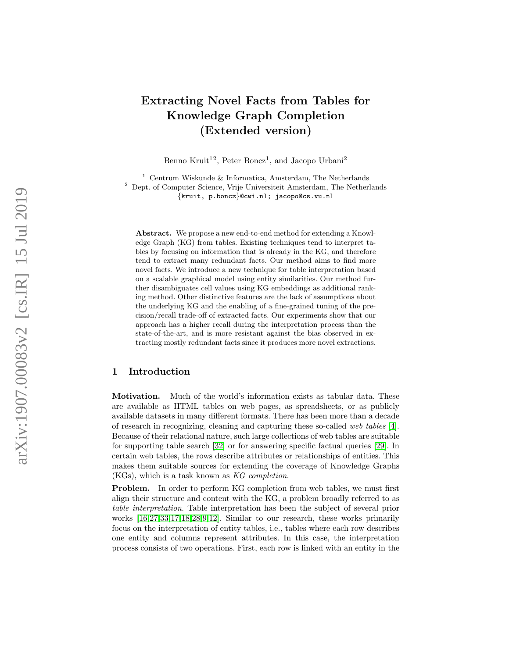# Extracting Novel Facts from Tables for Knowledge Graph Completion (Extended version)

Benno Kruit<sup>12</sup>, Peter Boncz<sup>1</sup>, and Jacopo Urbani<sup>2</sup>

 $^1$  Centrum Wiskunde & Informatica, Amsterdam, The Netherlands <sup>2</sup> Dept. of Computer Science, Vrije Universiteit Amsterdam, The Netherlands {kruit, p.boncz}@cwi.nl; jacopo@cs.vu.nl

Abstract. We propose a new end-to-end method for extending a Knowledge Graph (KG) from tables. Existing techniques tend to interpret tables by focusing on information that is already in the KG, and therefore tend to extract many redundant facts. Our method aims to find more novel facts. We introduce a new technique for table interpretation based on a scalable graphical model using entity similarities. Our method further disambiguates cell values using KG embeddings as additional ranking method. Other distinctive features are the lack of assumptions about the underlying KG and the enabling of a fine-grained tuning of the precision/recall trade-off of extracted facts. Our experiments show that our approach has a higher recall during the interpretation process than the state-of-the-art, and is more resistant against the bias observed in extracting mostly redundant facts since it produces more novel extractions.

# 1 Introduction

Motivation. Much of the world's information exists as tabular data. These are available as HTML tables on web pages, as spreadsheets, or as publicly available datasets in many different formats. There has been more than a decade of research in recognizing, cleaning and capturing these so-called web tables [\[4\]](#page-16-0). Because of their relational nature, such large collections of web tables are suitable for supporting table search [\[32\]](#page-17-0) or for answering specific factual queries [\[29\]](#page-17-1). In certain web tables, the rows describe attributes or relationships of entities. This makes them suitable sources for extending the coverage of Knowledge Graphs (KGs), which is a task known as KG completion .

Problem. In order to perform KG completion from web tables, we must first align their structure and content with the KG, a problem broadly referred to as table interpretation. Table interpretation has been the subject of several prior works [\[16](#page-17-2)[,27,](#page-17-3)[33,](#page-17-4)[17,](#page-17-5)[18](#page-17-6)[,28,](#page-17-7)[9](#page-16-1)[,12\]](#page-16-2). Similar to our research, these works primarily focus on the interpretation of entity tables, i.e., tables where each row describes one entity and columns represent attributes. In this case, the interpretation process consists of two operations. First, each row is linked with an entity in the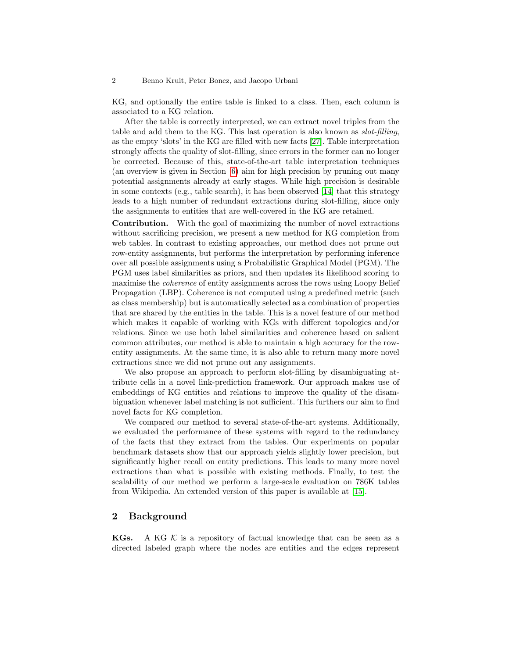KG, and optionally the entire table is linked to a class. Then, each column is associated to a KG relation.

After the table is correctly interpreted, we can extract novel triples from the table and add them to the KG. This last operation is also known as slot-filling, as the empty 'slots' in the KG are filled with new facts [\[27\]](#page-17-3). Table interpretation strongly affects the quality of slot-filling, since errors in the former can no longer be corrected. Because of this, state-of-the-art table interpretation techniques (an overview is given in Section [6\)](#page-14-0) aim for high precision by pruning out many potential assignments already at early stages. While high precision is desirable in some contexts (e.g., table search), it has been observed [\[14\]](#page-17-8) that this strategy leads to a high number of redundant extractions during slot-filling, since only the assignments to entities that are well-covered in the KG are retained.

Contribution. With the goal of maximizing the number of novel extractions without sacrificing precision, we present a new method for KG completion from web tables. In contrast to existing approaches, our method does not prune out row-entity assignments, but performs the interpretation by performing inference over all possible assignments using a Probabilistic Graphical Model (PGM). The PGM uses label similarities as priors, and then updates its likelihood scoring to maximise the *coherence* of entity assignments across the rows using Loopy Belief Propagation (LBP). Coherence is not computed using a predefined metric (such as class membership) but is automatically selected as a combination of properties that are shared by the entities in the table. This is a novel feature of our method which makes it capable of working with KGs with different topologies and/or relations. Since we use both label similarities and coherence based on salient common attributes, our method is able to maintain a high accuracy for the rowentity assignments. At the same time, it is also able to return many more novel extractions since we did not prune out any assignments.

We also propose an approach to perform slot-filling by disambiguating attribute cells in a novel link-prediction framework. Our approach makes use of embeddings of KG entities and relations to improve the quality of the disambiguation whenever label matching is not sufficient. This furthers our aim to find novel facts for KG completion.

We compared our method to several state-of-the-art systems. Additionally, we evaluated the performance of these systems with regard to the redundancy of the facts that they extract from the tables. Our experiments on popular benchmark datasets show that our approach yields slightly lower precision, but significantly higher recall on entity predictions. This leads to many more novel extractions than what is possible with existing methods. Finally, to test the scalability of our method we perform a large-scale evaluation on 786K tables from Wikipedia. An extended version of this paper is available at [\[15\]](#page-17-9).

### 2 Background

**KGs.** A KG  $K$  is a repository of factual knowledge that can be seen as a directed labeled graph where the nodes are entities and the edges represent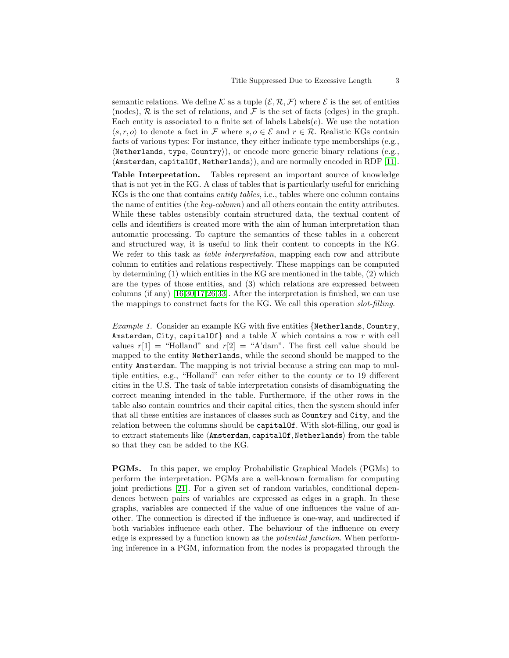semantic relations. We define K as a tuple  $(\mathcal{E}, \mathcal{R}, \mathcal{F})$  where E is the set of entities (nodes),  $\mathcal R$  is the set of relations, and  $\mathcal F$  is the set of facts (edges) in the graph. Each entity is associated to a finite set of labels  $\mathsf{Lables}(e)$ . We use the notation  $\langle s, r, o \rangle$  to denote a fact in F where  $s, o \in \mathcal{E}$  and  $r \in \mathcal{R}$ . Realistic KGs contain facts of various types: For instance, they either indicate type memberships (e.g.,  $\langle \text{Netherlands}, \text{type}, \text{Country} \rangle$ , or encode more generic binary relations (e.g.,  $\langle$ Amsterdam, capitalOf, Netherlands $\rangle$ ), and are normally encoded in RDF [\[11\]](#page-16-3).

Table Interpretation. Tables represent an important source of knowledge that is not yet in the KG. A class of tables that is particularly useful for enriching KGs is the one that contains entity tables, i.e., tables where one column contains the name of entities (the key-column) and all others contain the entity attributes. While these tables ostensibly contain structured data, the textual content of cells and identifiers is created more with the aim of human interpretation than automatic processing. To capture the semantics of these tables in a coherent and structured way, it is useful to link their content to concepts in the KG. We refer to this task as *table interpretation*, mapping each row and attribute column to entities and relations respectively. These mappings can be computed by determining  $(1)$  which entities in the KG are mentioned in the table,  $(2)$  which are the types of those entities, and (3) which relations are expressed between columns (if any) [\[16,](#page-17-2)[30,](#page-17-10)[17](#page-17-5)[,26,](#page-17-11)[33\]](#page-17-4). After the interpretation is finished, we can use the mappings to construct facts for the KG. We call this operation slot-filling.

Example 1. Consider an example KG with five entities {Netherlands, Country, Amsterdam, City, capital Of  $\}$  and a table X which contains a row r with cell values  $r[1] =$  "Holland" and  $r[2] =$  "A'dam". The first cell value should be mapped to the entity Netherlands, while the second should be mapped to the entity Amsterdam. The mapping is not trivial because a string can map to multiple entities, e.g., "Holland" can refer either to the county or to 19 different cities in the U.S. The task of table interpretation consists of disambiguating the correct meaning intended in the table. Furthermore, if the other rows in the table also contain countries and their capital cities, then the system should infer that all these entities are instances of classes such as Country and City, and the relation between the columns should be capitalOf. With slot-filling, our goal is to extract statements like  $\langle$ Amsterdam, capitalOf, Netherlands $\rangle$  from the table so that they can be added to the KG.

PGMs. In this paper, we employ Probabilistic Graphical Models (PGMs) to perform the interpretation. PGMs are a well-known formalism for computing joint predictions [\[21\]](#page-17-12). For a given set of random variables, conditional dependences between pairs of variables are expressed as edges in a graph. In these graphs, variables are connected if the value of one influences the value of another. The connection is directed if the influence is one-way, and undirected if both variables influence each other. The behaviour of the influence on every edge is expressed by a function known as the potential function. When performing inference in a PGM, information from the nodes is propagated through the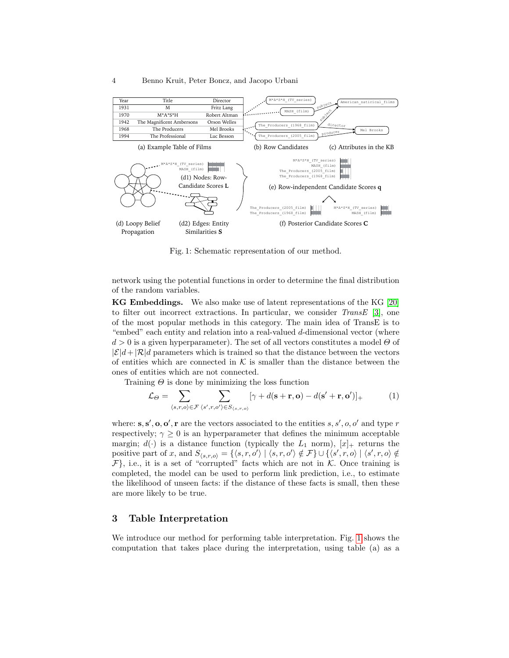<span id="page-3-0"></span>

Fig. 1: Schematic representation of our method.

network using the potential functions in order to determine the final distribution of the random variables.

KG Embeddings. We also make use of latent representations of the KG [\[20\]](#page-17-13) to filter out incorrect extractions. In particular, we consider TransE [\[3\]](#page-16-4), one of the most popular methods in this category. The main idea of TransE is to "embed" each entity and relation into a real-valued d-dimensional vector (where  $d > 0$  is a given hyperparameter). The set of all vectors constitutes a model  $\Theta$  of  $|\mathcal{E}|d+|\mathcal{R}|d$  parameters which is trained so that the distance between the vectors of entities which are connected in  $K$  is smaller than the distance between the ones of entities which are not connected.

Training  $\Theta$  is done by minimizing the loss function

$$
\mathcal{L}_{\Theta} = \sum_{\langle s,r,o \rangle \in \mathcal{F}} \sum_{\langle s',r,o' \rangle \in S_{\langle s,r,o \rangle}} [\gamma + d(\mathbf{s} + \mathbf{r}, \mathbf{o}) - d(\mathbf{s'} + \mathbf{r}, \mathbf{o'})]_{+}
$$
(1)

where:  $s, s', o, o', r$  are the vectors associated to the entities  $s, s', o, o'$  and type r respectively;  $\gamma \geq 0$  is an hyperparameter that defines the minimum acceptable margin;  $d(\cdot)$  is a distance function (typically the  $L_1$  norm),  $[x]_+$  returns the positive part of x, and  $S_{\langle s,r,o \rangle} = \{ \langle s,r,o' \rangle \mid \langle s,r,o' \rangle \notin \mathcal{F} \} \cup \{ \langle s',r,o \rangle \mid \langle s',r,o \rangle \notin \mathcal{F} \}$  $\mathcal{F}$ , i.e., it is a set of "corrupted" facts which are not in K. Once training is completed, the model can be used to perform link prediction, i.e., to estimate the likelihood of unseen facts: if the distance of these facts is small, then these are more likely to be true.

# 3 Table Interpretation

We introduce our method for performing table interpretation. Fig. [1](#page-3-0) shows the computation that takes place during the interpretation, using table (a) as a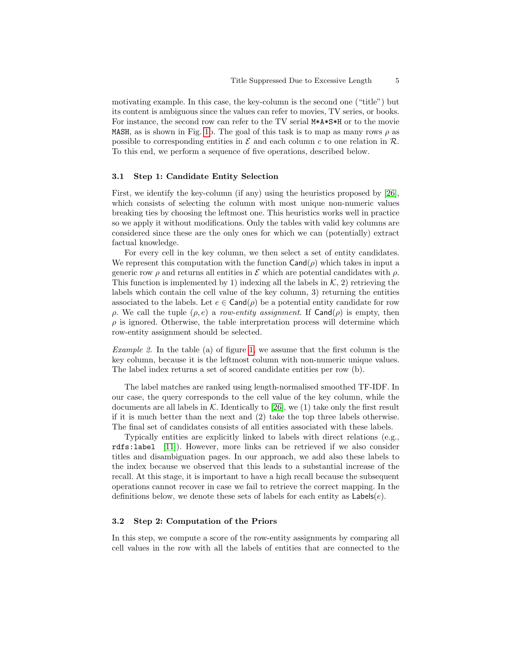motivating example. In this case, the key-column is the second one ("title") but its content is ambiguous since the values can refer to movies, TV series, or books. For instance, the second row can refer to the TV serial M\*A\*S\*H or to the movie MASH, as is shown in Fig. [1b](#page-3-0). The goal of this task is to map as many rows  $\rho$  as possible to corresponding entities in  $\mathcal E$  and each column c to one relation in  $\mathcal R$ . To this end, we perform a sequence of five operations, described below.

### <span id="page-4-0"></span>3.1 Step 1: Candidate Entity Selection

First, we identify the key-column (if any) using the heuristics proposed by [\[26\]](#page-17-11), which consists of selecting the column with most unique non-numeric values breaking ties by choosing the leftmost one. This heuristics works well in practice so we apply it without modifications. Only the tables with valid key columns are considered since these are the only ones for which we can (potentially) extract factual knowledge.

For every cell in the key column, we then select a set of entity candidates. We represent this computation with the function  $Cand(\rho)$  which takes in input a generic row  $\rho$  and returns all entities in  $\mathcal E$  which are potential candidates with  $\rho$ . This function is implemented by 1) indexing all the labels in  $K$ , 2) retrieving the labels which contain the cell value of the key column, 3) returning the entities associated to the labels. Let  $e \in \text{Cand}(\rho)$  be a potential entity candidate for row ρ. We call the tuple  $(ρ, ε)$  a row-entity assignment. If Cand( $ρ$ ) is empty, then  $\rho$  is ignored. Otherwise, the table interpretation process will determine which row-entity assignment should be selected.

Example 2. In the table (a) of figure [1,](#page-3-0) we assume that the first column is the key column, because it is the leftmost column with non-numeric unique values. The label index returns a set of scored candidate entities per row (b).

The label matches are ranked using length-normalised smoothed TF-IDF. In our case, the query corresponds to the cell value of the key column, while the documents are all labels in  $K$ . Identically to [\[26\]](#page-17-11), we (1) take only the first result if it is much better than the next and (2) take the top three labels otherwise. The final set of candidates consists of all entities associated with these labels.

Typically entities are explicitly linked to labels with direct relations (e.g., rdfs:label [\[11\]](#page-16-3)). However, more links can be retrieved if we also consider titles and disambiguation pages. In our approach, we add also these labels to the index because we observed that this leads to a substantial increase of the recall. At this stage, it is important to have a high recall because the subsequent operations cannot recover in case we fail to retrieve the correct mapping. In the definitions below, we denote these sets of labels for each entity as  $\mathsf{Labels}(e)$ .

### 3.2 Step 2: Computation of the Priors

In this step, we compute a score of the row-entity assignments by comparing all cell values in the row with all the labels of entities that are connected to the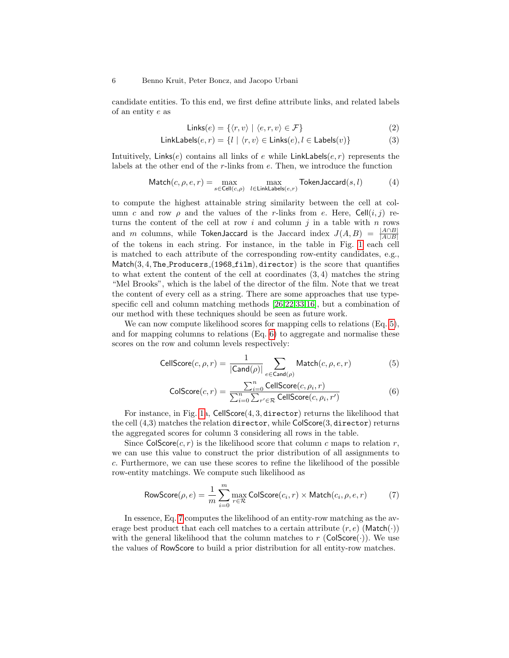candidate entities. To this end, we first define attribute links, and related labels of an entity e as

$$
Links(e) = \{ \langle r, v \rangle \mid \langle e, r, v \rangle \in \mathcal{F} \}
$$
\n
$$
(2)
$$

$$
LinkLabels(e, r) = \{ l \mid \langle r, v \rangle \in Links(e), l \in Labels(v) \}
$$
\n(3)

Intuitively, Links(e) contains all links of e while LinkLabels(e, r) represents the labels at the other end of the r-links from e. Then, we introduce the function

$$
\text{Match}(c, \rho, e, r) = \max_{s \in \text{Cell}(c, \rho)} \max_{l \in \text{LinkLabels}(e, r)} \text{TokenJaccard}(s, l) \tag{4}
$$

to compute the highest attainable string similarity between the cell at column c and row  $\rho$  and the values of the r-links from e. Here, Cell $(i, j)$  returns the content of the cell at row  $i$  and column  $j$  in a table with  $n$  rows and m columns, while TokenJaccard is the Jaccard index  $J(A, B) = \frac{|A \cap B|}{|A \cup B|}$ of the tokens in each string. For instance, in the table in Fig. [1](#page-3-0) each cell is matched to each attribute of the corresponding row-entity candidates, e.g.,  $Match(3, 4, The$ Producers  $(1968_f11m)$ , director) is the score that quantifies to what extent the content of the cell at coordinates (3, 4) matches the string "Mel Brooks", which is the label of the director of the film. Note that we treat the content of every cell as a string. There are some approaches that use typespecific cell and column matching methods [\[26](#page-17-11)[,22,](#page-17-14)[33,](#page-17-4)[16\]](#page-17-2), but a combination of our method with these techniques should be seen as future work.

We can now compute likelihood scores for mapping cells to relations (Eq. [5\)](#page-5-0), and for mapping columns to relations (Eq. [6\)](#page-5-1) to aggregate and normalise these scores on the row and column levels respectively:

$$
\text{CellScore}(c, \rho, r) = \frac{1}{|\text{Cand}(\rho)|} \sum_{e \in \text{Cand}(\rho)} \text{Match}(c, \rho, e, r) \tag{5}
$$

<span id="page-5-2"></span><span id="page-5-1"></span><span id="page-5-0"></span>
$$
\text{ColScore}(c, r) = \frac{\sum_{i=0}^{n} \text{CellScore}(c, \rho_i, r)}{\sum_{i=0}^{n} \sum_{r' \in \mathcal{R}} \text{CellScore}(c, \rho_i, r')} \tag{6}
$$

For instance, in Fig. [1a](#page-3-0), CellScore(4, 3, director) returns the likelihood that the cell (4,3) matches the relation director, while ColScore(3, director) returns the aggregated scores for column 3 considering all rows in the table.

Since ColScore(c, r) is the likelihood score that column c maps to relation r, we can use this value to construct the prior distribution of all assignments to c. Furthermore, we can use these scores to refine the likelihood of the possible row-entity matchings. We compute such likelihood as

$$
\text{RowScore}(\rho, e) = \frac{1}{m} \sum_{i=0}^{m} \max_{r \in \mathcal{R}} \text{ColScore}(c_i, r) \times \text{Match}(c_i, \rho, e, r) \tag{7}
$$

In essence, Eq. [7](#page-5-2) computes the likelihood of an entity-row matching as the average best product that each cell matches to a certain attribute  $(r, e)$  (Match(·)) with the general likelihood that the column matches to r ( $\text{ColScore}(\cdot)$ ). We use the values of RowScore to build a prior distribution for all entity-row matches.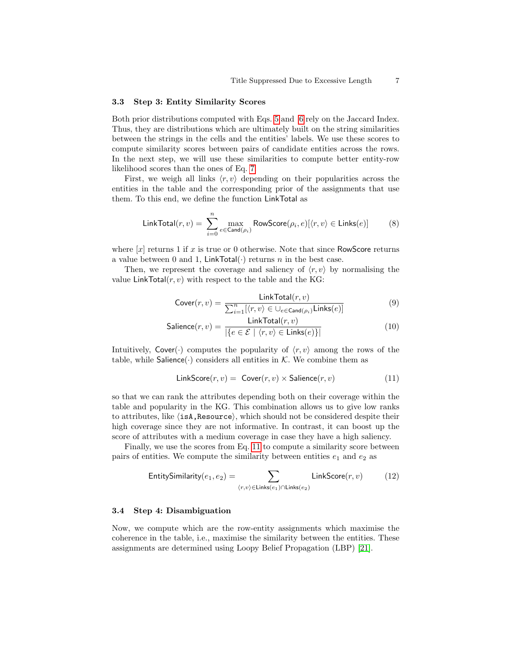#### 3.3 Step 3: Entity Similarity Scores

Both prior distributions computed with Eqs. [5](#page-5-0) and [6](#page-5-1) rely on the Jaccard Index. Thus, they are distributions which are ultimately built on the string similarities between the strings in the cells and the entities' labels. We use these scores to compute similarity scores between pairs of candidate entities across the rows. In the next step, we will use these similarities to compute better entity-row likelihood scores than the ones of Eq. [7.](#page-5-2)

First, we weigh all links  $\langle r, v \rangle$  depending on their popularities across the entities in the table and the corresponding prior of the assignments that use them. To this end, we define the function LinkTotal as

$$
\text{LinkTotal}(r, v) = \sum_{i=0}^{n} \max_{e \in \text{Cand}(\rho_i)} \text{RowScore}(\rho_i, e) [\langle r, v \rangle \in \text{Links}(e)] \tag{8}
$$

where  $[x]$  returns 1 if x is true or 0 otherwise. Note that since RowScore returns a value between 0 and 1,  $\text{LinkTotal}(\cdot)$  returns n in the best case.

Then, we represent the coverage and saliency of  $\langle r, v \rangle$  by normalising the value  $\text{LinkTotal}(r, v)$  with respect to the table and the KG:

$$
\text{Cover}(r, v) = \frac{\text{LinkTotal}(r, v)}{\sum_{i=1}^{n} [\langle r, v \rangle \in \cup_{e \in \text{Cand}(\rho_i)} \text{Links}(e)]}
$$
(9)

$$
\text{Salience}(r, v) = \frac{\text{LinkTotal}(r, v)}{|\{e \in \mathcal{E} \mid \langle r, v \rangle \in \text{Links}(e)\}|}
$$
(10)

Intuitively, Cover( $\cdot$ ) computes the popularity of  $\langle r, v \rangle$  among the rows of the table, while Salience( $\cdot$ ) considers all entities in K. We combine them as

<span id="page-6-0"></span>
$$
LinkScore(r, v) = Cover(r, v) \times Salience(r, v)
$$
\n(11)

so that we can rank the attributes depending both on their coverage within the table and popularity in the KG. This combination allows us to give low ranks to attributes, like  $\langle$ **isA,Resource** $\rangle$ , which should not be considered despite their high coverage since they are not informative. In contrast, it can boost up the score of attributes with a medium coverage in case they have a high saliency.

Finally, we use the scores from Eq. [11](#page-6-0) to compute a similarity score between pairs of entities. We compute the similarity between entities  $e_1$  and  $e_2$  as

<span id="page-6-1"></span>
$$
EntitySimilarity(e_1, e_2) = \sum_{\langle r, v \rangle \in \text{Links}(e_1) \cap \text{Links}(e_2)} \text{LinkScore}(r, v) \tag{12}
$$

### 3.4 Step 4: Disambiguation

Now, we compute which are the row-entity assignments which maximise the coherence in the table, i.e., maximise the similarity between the entities. These assignments are determined using Loopy Belief Propagation (LBP) [\[21\]](#page-17-12).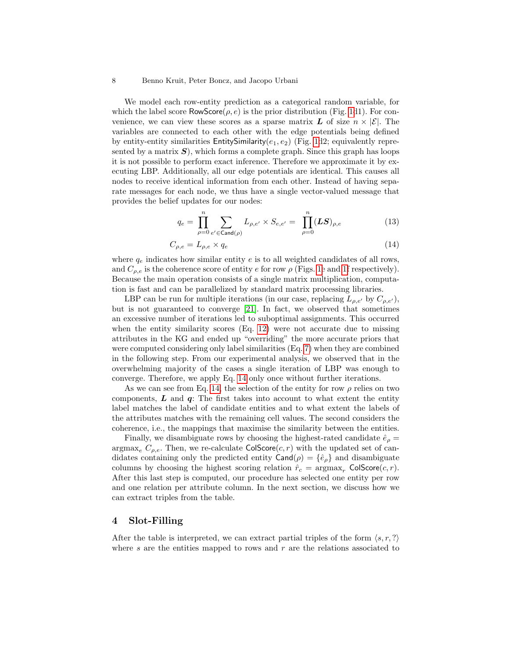We model each row-entity prediction as a categorical random variable, for which the label score  $RowScore(\rho, e)$  is the prior distribution (Fig. [1d](#page-3-0)1). For convenience, we can view these scores as a sparse matrix  $\bm{L}$  of size  $n \times |\mathcal{E}|$ . The variables are connected to each other with the edge potentials being defined by entity-entity similarities EntitySimilarity( $e_1, e_2$ ) (Fig. [1d](#page-3-0)2; equivalently represented by a matrix  $S$ ), which forms a complete graph. Since this graph has loops it is not possible to perform exact inference. Therefore we approximate it by executing LBP. Additionally, all our edge potentials are identical. This causes all nodes to receive identical information from each other. Instead of having separate messages for each node, we thus have a single vector-valued message that provides the belief updates for our nodes:

<span id="page-7-0"></span>
$$
q_e = \prod_{\rho=0}^n \sum_{e' \in \text{Cand}(\rho)} L_{\rho, e'} \times S_{e, e'} = \prod_{\rho=0}^n (\text{LS})_{\rho, e}
$$
 (13)

$$
C_{\rho,e} = L_{\rho,e} \times q_e \tag{14}
$$

where  $q_e$  indicates how similar entity  $e$  is to all weighted candidates of all rows, and  $C_{\rho,e}$  is the coherence score of entity e for row  $\rho$  (Figs. [1e](#page-3-0) and [1f](#page-3-0) respectively). Because the main operation consists of a single matrix multiplication, computation is fast and can be parallelized by standard matrix processing libraries.

LBP can be run for multiple iterations (in our case, replacing  $L_{\rho,e'}$  by  $C_{\rho,e'}$ ), but is not guaranteed to converge [\[21\]](#page-17-12). In fact, we observed that sometimes an excessive number of iterations led to suboptimal assignments. This occurred when the entity similarity scores (Eq. [12\)](#page-6-1) were not accurate due to missing attributes in the KG and ended up "overriding" the more accurate priors that were computed considering only label similarities (Eq. [7\)](#page-5-2) when they are combined in the following step. From our experimental analysis, we observed that in the overwhelming majority of the cases a single iteration of LBP was enough to converge. Therefore, we apply Eq. [14](#page-7-0) only once without further iterations.

As we can see from Eq. [14,](#page-7-0) the selection of the entity for row  $\rho$  relies on two components,  $\boldsymbol{L}$  and  $\boldsymbol{q}$ : The first takes into account to what extent the entity label matches the label of candidate entities and to what extent the labels of the attributes matches with the remaining cell values. The second considers the coherence, i.e., the mappings that maximise the similarity between the entities.

Finally, we disambiguate rows by choosing the highest-rated candidate  $\hat{e}_{\rho} =$  $argmax_e C_{\rho,e}$ . Then, we re-calculate ColScore $(c, r)$  with the updated set of candidates containing only the predicted entity  $\text{Cand}(\rho) = {\hat{e}_{\rho}}$  and disambiguate columns by choosing the highest scoring relation  $\hat{r}_c = \argmax_r \text{ColScore}(c, r)$ . After this last step is computed, our procedure has selected one entity per row and one relation per attribute column. In the next section, we discuss how we can extract triples from the table.

# <span id="page-7-1"></span>4 Slot-Filling

After the table is interpreted, we can extract partial triples of the form  $\langle s, r, ? \rangle$ where s are the entities mapped to rows and  $r$  are the relations associated to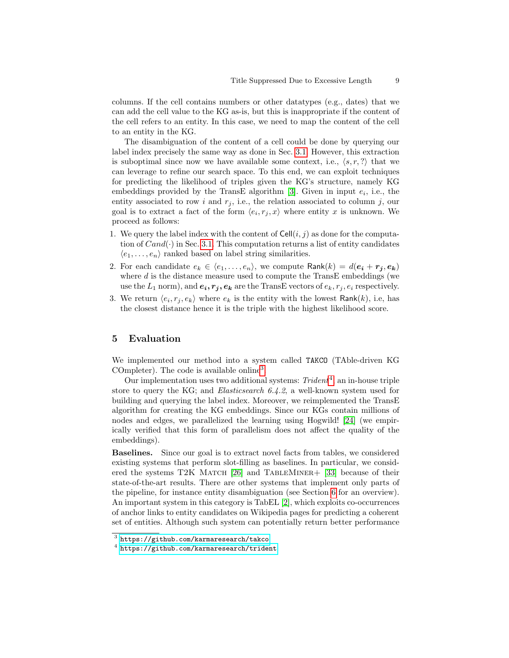columns. If the cell contains numbers or other datatypes (e.g., dates) that we can add the cell value to the KG as-is, but this is inappropriate if the content of the cell refers to an entity. In this case, we need to map the content of the cell to an entity in the KG.

The disambiguation of the content of a cell could be done by querying our label index precisely the same way as done in Sec. [3.1.](#page-4-0) However, this extraction is suboptimal since now we have available some context, i.e.,  $\langle s, r, ? \rangle$  that we can leverage to refine our search space. To this end, we can exploit techniques for predicting the likelihood of triples given the KG's structure, namely KG embeddings provided by the TransE algorithm [\[3\]](#page-16-4). Given in input  $e_i$ , i.e., the entity associated to row i and  $r_j$ , i.e., the relation associated to column j, our goal is to extract a fact of the form  $\langle e_i, r_j, x \rangle$  where entity x is unknown. We proceed as follows:

- 1. We query the label index with the content of  $\text{Cell}(i, j)$  as done for the computation of  $Cand(\cdot)$  in Sec. [3.1.](#page-4-0) This computation returns a list of entity candidates  $\langle e_1, \ldots, e_n \rangle$  ranked based on label string similarities.
- 2. For each candidate  $e_k \in \langle e_1, \ldots, e_n \rangle$ , we compute Rank $(k) = d(e_i + r_j, e_k)$ where  $d$  is the distance measure used to compute the TransE embeddings (we use the  $L_1$  norm), and  $e_i, r_j, e_k$  are the TransE vectors of  $e_k, r_j, e_i$  respectively.
- 3. We return  $\langle e_i, r_j, e_k \rangle$  where  $e_k$  is the entity with the lowest Rank $(k)$ , i.e, has the closest distance hence it is the triple with the highest likelihood score.

# 5 Evaluation

We implemented our method into a system called TAKCO (TAble-driven KG COmpleter). The code is available online[3](#page-8-0) .

Our implementation uses two additional systems:  $Trident<sup>4</sup>$  $Trident<sup>4</sup>$  $Trident<sup>4</sup>$ , an in-house triple store to query the KG; and *Elasticsearch 6.4.2*, a well-known system used for building and querying the label index. Moreover, we reimplemented the TransE algorithm for creating the KG embeddings. Since our KGs contain millions of nodes and edges, we parallelized the learning using Hogwild! [\[24\]](#page-17-15) (we empirically verified that this form of parallelism does not affect the quality of the embeddings).

Baselines. Since our goal is to extract novel facts from tables, we considered existing systems that perform slot-filling as baselines. In particular, we consid-ered the systems T2K MATCH [\[26\]](#page-17-11) and TABLEMINER+ [\[33\]](#page-17-4) because of their state-of-the-art results. There are other systems that implement only parts of the pipeline, for instance entity disambiguation (see Section [6](#page-14-0) for an overview). An important system in this category is TabEL [\[2\]](#page-16-5), which exploits co-occurrences of anchor links to entity candidates on Wikipedia pages for predicting a coherent set of entities. Although such system can potentially return better performance

<span id="page-8-0"></span> $^3$  <https://github.com/karmaresearch/takco>

<span id="page-8-1"></span><sup>4</sup> <https://github.com/karmaresearch/trident>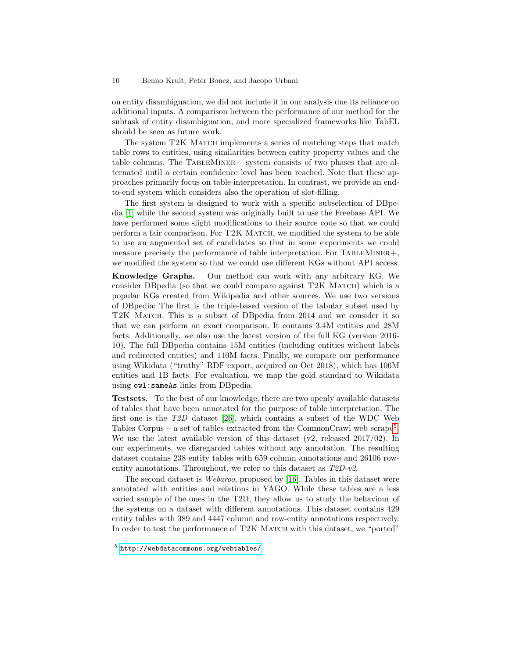on entity disambiguation, we did not include it in our analysis due its reliance on additional inputs. A comparison between the performance of our method for the subtask of entity disambiguation, and more specialized frameworks like TabEL should be seen as future work.

The system T2K MATCH implements a series of matching steps that match table rows to entities, using similarities between entity property values and the table columns. The TableMiner+ system consists of two phases that are alternated until a certain confidence level has been reached. Note that these approaches primarily focus on table interpretation. In contrast, we provide an endto-end system which considers also the operation of slot-filling.

The first system is designed to work with a specific subselection of DBpedia [\[1\]](#page-16-6) while the second system was originally built to use the Freebase API. We have performed some slight modifications to their source code so that we could perform a fair comparison. For  $T2K$  MATCH, we modified the system to be able to use an augmented set of candidates so that in some experiments we could measure precisely the performance of table interpretation. For TABLEMINER $+$ , we modified the system so that we could use different KGs without API access.

Knowledge Graphs. Our method can work with any arbitrary KG. We consider DB pedia (so that we could compare against  $T2K$  MATCH) which is a popular KGs created from Wikipedia and other sources. We use two versions of DBpedia: The first is the triple-based version of the tabular subset used by T2K Match. This is a subset of DBpedia from 2014 and we consider it so that we can perform an exact comparison. It contains 3.4M entities and 28M facts. Additionally, we also use the latest version of the full KG (version 2016- 10). The full DBpedia contains 15M entities (including entities without labels and redirected entities) and 110M facts. Finally, we compare our performance using Wikidata ("truthy" RDF export, acquired on Oct 2018), which has 106M entities and 1B facts. For evaluation, we map the gold standard to Wikidata using owl:sameAs links from DBpedia.

Testsets. To the best of our knowledge, there are two openly available datasets of tables that have been annotated for the purpose of table interpretation. The first one is the T2D dataset [\[26\]](#page-17-11), which contains a subset of the WDC Web Tables Corpus – a set of tables extracted from the CommonCrawl web scrape<sup>[5](#page-9-0)</sup>. We use the latest available version of this dataset (v2, released 2017/02). In our experiments, we disregarded tables without any annotation. The resulting dataset contains 238 entity tables with 659 column annotations and 26106 rowentity annotations. Throughout, we refer to this dataset as  $T2D-v2$ .

The second dataset is Webaroo, proposed by [\[16\]](#page-17-2). Tables in this dataset were annotated with entities and relations in YAGO. While these tables are a less varied sample of the ones in the T2D, they allow us to study the behaviour of the systems on a dataset with different annotations. This dataset contains 429 entity tables with 389 and 4447 column and row-entity annotations respectively. In order to test the performance of T2K MATCH with this dataset, we "ported"

<span id="page-9-0"></span> $^5$  <http://webdatacommons.org/webtables/>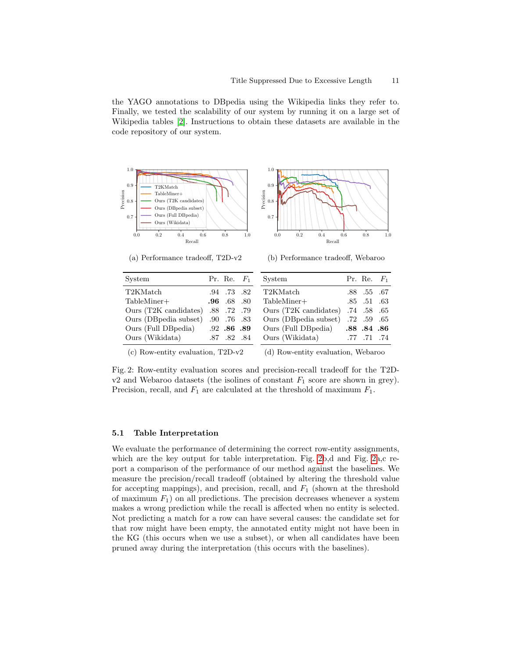the YAGO annotations to DBpedia using the Wikipedia links they refer to. Finally, we tested the scalability of our system by running it on a large set of Wikipedia tables [\[2\]](#page-16-5). Instructions to obtain these datasets are available in the code repository of our system.

<span id="page-10-0"></span>

(b) Performance tradeoff, Webaroo

| System                                      |                           | Pr. Re. $F_1$ | System                                                                                                 | Pr. Re. $F_1$ |  |
|---------------------------------------------|---------------------------|---------------|--------------------------------------------------------------------------------------------------------|---------------|--|
| T2KMatch                                    | .94 .73 .82               |               | T2KMatch                                                                                               | .88 .55 .67   |  |
| TableMiner+                                 | $.96 \quad .68 \quad .80$ |               | $TableMiner+$                                                                                          | .85 .51 .63   |  |
| Ours $(T2K \text{ candidates})$ .88 .72 .79 |                           |               | Ours $(T2K \text{ candidates})$ .74 .58 .65                                                            |               |  |
| 0.83. Qurs (DB pedia subset) .90.           |                           |               | Ours (DB pedia subset) $.72$ $.59$ $.65$                                                               |               |  |
| 0urs (Full DBpedia) .92 .86 .89             |                           |               | Ours (Full DBpedia) 38 .84 .86                                                                         |               |  |
| 84. 82. 84. Ours (Wikidata)                 |                           |               | 71. 71. 77. 77. 71.                                                                                    |               |  |
|                                             |                           |               | $\lambda$ ) is the contract of $\lambda$ ) is the contract of $\lambda$ ) is the contract of $\lambda$ |               |  |

(c) Row-entity evaluation, T2D-v2

(a) Performance tradeoff, T2D-v2

(d) Row-entity evaluation, Webaroo

Fig. 2: Row-entity evaluation scores and precision-recall tradeoff for the T2D $v2$  and Webaroo datasets (the isolines of constant  $F_1$  score are shown in grey). Precision, recall, and  $F_1$  are calculated at the threshold of maximum  $F_1$ .

#### 5.1 Table Interpretation

We evaluate the performance of determining the correct row-entity assignments, which are the key output for table interpretation. Fig. [2b](#page-10-0),d and Fig. [2a](#page-10-0),c report a comparison of the performance of our method against the baselines. We measure the precision/recall tradeoff (obtained by altering the threshold value for accepting mappings), and precision, recall, and  $F_1$  (shown at the threshold of maximum  $F_1$ ) on all predictions. The precision decreases whenever a system makes a wrong prediction while the recall is affected when no entity is selected. Not predicting a match for a row can have several causes: the candidate set for that row might have been empty, the annotated entity might not have been in the KG (this occurs when we use a subset), or when all candidates have been pruned away during the interpretation (this occurs with the baselines).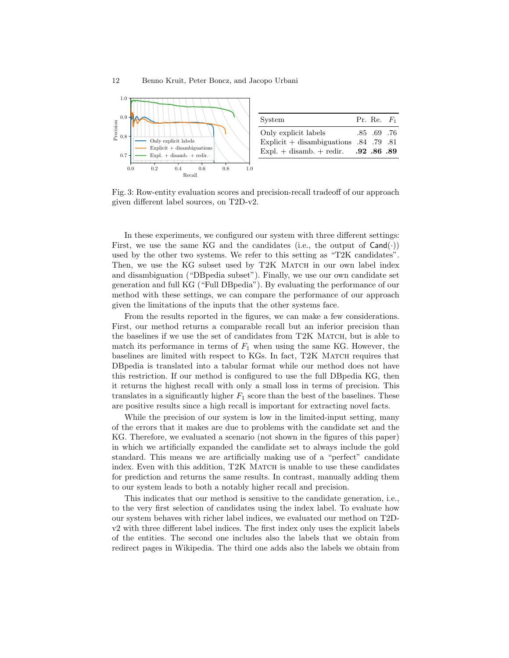<span id="page-11-0"></span>

| System                                                                                                    | Pr. Re. $F_1$ |  |
|-----------------------------------------------------------------------------------------------------------|---------------|--|
| Only explicit labels<br>$Explicit + disambiguations$ .84 .79 .81<br>Expl. + disamb. + redir. $.92$ .86.89 | .85 .69 .76   |  |

Fig. 3: Row-entity evaluation scores and precision-recall tradeoff of our approach given different label sources, on T2D-v2.

In these experiments, we configured our system with three different settings: First, we use the same KG and the candidates (i.e., the output of  $Cand(\cdot)$ ) used by the other two systems. We refer to this setting as "T2K candidates". Then, we use the KG subset used by T2K MATCH in our own label index and disambiguation ("DBpedia subset"). Finally, we use our own candidate set generation and full KG ("Full DBpedia"). By evaluating the performance of our method with these settings, we can compare the performance of our approach given the limitations of the inputs that the other systems face.

From the results reported in the figures, we can make a few considerations. First, our method returns a comparable recall but an inferior precision than the baselines if we use the set of candidates from  $T2K$  MATCH, but is able to match its performance in terms of  $F_1$  when using the same KG. However, the baselines are limited with respect to KGs. In fact, T2K MATCH requires that DBpedia is translated into a tabular format while our method does not have this restriction. If our method is configured to use the full DBpedia KG, then it returns the highest recall with only a small loss in terms of precision. This translates in a significantly higher  $F_1$  score than the best of the baselines. These are positive results since a high recall is important for extracting novel facts.

While the precision of our system is low in the limited-input setting, many of the errors that it makes are due to problems with the candidate set and the KG. Therefore, we evaluated a scenario (not shown in the figures of this paper) in which we artificially expanded the candidate set to always include the gold standard. This means we are artificially making use of a "perfect" candidate index. Even with this addition, T2K MATCH is unable to use these candidates for prediction and returns the same results. In contrast, manually adding them to our system leads to both a notably higher recall and precision.

This indicates that our method is sensitive to the candidate generation, i.e., to the very first selection of candidates using the index label. To evaluate how our system behaves with richer label indices, we evaluated our method on T2Dv2 with three different label indices. The first index only uses the explicit labels of the entities. The second one includes also the labels that we obtain from redirect pages in Wikipedia. The third one adds also the labels we obtain from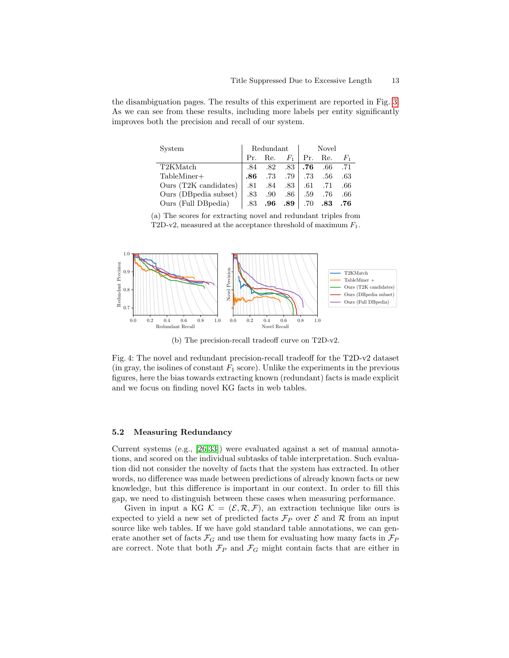<span id="page-12-0"></span>the disambiguation pages. The results of this experiment are reported in Fig. [3.](#page-11-0) As we can see from these results, including more labels per entity significantly improves both the precision and recall of our system.

| System                         | Redundant |                           |                            | Novel         |                     |       |  |
|--------------------------------|-----------|---------------------------|----------------------------|---------------|---------------------|-------|--|
|                                |           | Pr. Re.                   |                            |               | $F_1$   Pr. Re.     | $F_1$ |  |
| T2KMatch                       |           | .84 .82                   |                            |               | $.83$   $.76$ $.66$ | .71   |  |
| $TableMiner+$                  |           | <b>86</b> .73 .79 .73 .56 |                            |               |                     | .63   |  |
| Ours (T2K candidates) $  .81$  |           |                           | $.84$ $.83$ $.61$ $.71$    |               |                     | .66   |  |
| Ours (DB pedia subset) $ $ .83 |           |                           | $.90 \t .86 \t .59 \t .76$ |               |                     | .66   |  |
| Ours (Full DBpedia)            | $.83\,$   | .96                       |                            | $.89 \pm .70$ | $.83\,$             | - .76 |  |

|  | (a) The scores for extracting novel and redundant triples from  |  |  |  |
|--|-----------------------------------------------------------------|--|--|--|
|  | T2D-v2, measured at the acceptance threshold of maximum $F_1$ . |  |  |  |



(b) The precision-recall tradeoff curve on T2D-v2.

Fig. 4: The novel and redundant precision-recall tradeoff for the T2D-v2 dataset (in gray, the isolines of constant  $F_1$  score). Unlike the experiments in the previous figures, here the bias towards extracting known (redundant) facts is made explicit and we focus on finding novel KG facts in web tables.

### 5.2 Measuring Redundancy

Current systems (e.g., [\[26](#page-17-11)[,33\]](#page-17-4)) were evaluated against a set of manual annotations, and scored on the individual subtasks of table interpretation. Such evaluation did not consider the novelty of facts that the system has extracted. In other words, no difference was made between predictions of already known facts or new knowledge, but this difference is important in our context. In order to fill this gap, we need to distinguish between these cases when measuring performance.

Given in input a KG  $\mathcal{K} = (\mathcal{E}, \mathcal{R}, \mathcal{F})$ , an extraction technique like ours is expected to yield a new set of predicted facts  $\mathcal{F}_P$  over  $\mathcal E$  and  $\mathcal R$  from an input source like web tables. If we have gold standard table annotations, we can generate another set of facts  $\mathcal{F}_G$  and use them for evaluating how many facts in  $\mathcal{F}_P$ are correct. Note that both  $\mathcal{F}_P$  and  $\mathcal{F}_G$  might contain facts that are either in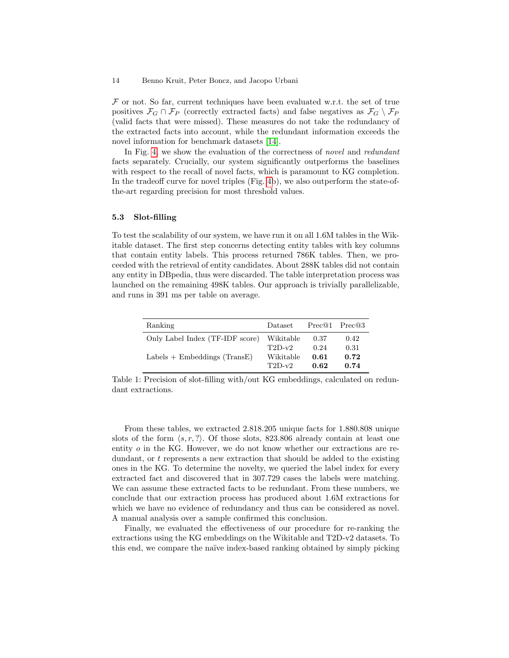$\mathcal F$  or not. So far, current techniques have been evaluated w.r.t. the set of true positives  $\mathcal{F}_G \cap \mathcal{F}_P$  (correctly extracted facts) and false negatives as  $\mathcal{F}_G \setminus \mathcal{F}_P$ (valid facts that were missed). These measures do not take the redundancy of the extracted facts into account, while the redundant information exceeds the novel information for benchmark datasets [\[14\]](#page-17-8).

In Fig. [4,](#page-12-0) we show the evaluation of the correctness of novel and redundant facts separately. Crucially, our system significantly outperforms the baselines with respect to the recall of novel facts, which is paramount to KG completion. In the tradeoff curve for novel triples (Fig. [4b](#page-12-0)), we also outperform the state-ofthe-art regarding precision for most threshold values.

### 5.3 Slot-filling

To test the scalability of our system, we have run it on all 1.6M tables in the Wikitable dataset. The first step concerns detecting entity tables with key columns that contain entity labels. This process returned 786K tables. Then, we proceeded with the retrieval of entity candidates. About 288K tables did not contain any entity in DBpedia, thus were discarded. The table interpretation process was launched on the remaining 498K tables. Our approach is trivially parallelizable, and runs in 391 ms per table on average.

<span id="page-13-0"></span>

| Ranking                         | Dataset               | $Prec@1 \text{ Prec@3}$ |              |
|---------------------------------|-----------------------|-------------------------|--------------|
| Only Label Index (TF-IDF score) | Wikitable             | 0.37                    | 0.42         |
| $Labels + Embeddings (TransE)$  | $T2D-v2$<br>Wikitable | 0.24<br>0.61            | 0.31<br>0.72 |
|                                 | $T2D-v2$              | 0.62                    | 0.74         |

Table 1: Precision of slot-filling with/out KG embeddings, calculated on redundant extractions.

From these tables, we extracted 2.818.205 unique facts for 1.880.808 unique slots of the form  $\langle s, r, ? \rangle$ . Of those slots, 823.806 already contain at least one entity o in the KG. However, we do not know whether our extractions are redundant, or t represents a new extraction that should be added to the existing ones in the KG. To determine the novelty, we queried the label index for every extracted fact and discovered that in 307.729 cases the labels were matching. We can assume these extracted facts to be redundant. From these numbers, we conclude that our extraction process has produced about 1.6M extractions for which we have no evidence of redundancy and thus can be considered as novel. A manual analysis over a sample confirmed this conclusion.

Finally, we evaluated the effectiveness of our procedure for re-ranking the extractions using the KG embeddings on the Wikitable and T2D-v2 datasets. To this end, we compare the naïve index-based ranking obtained by simply picking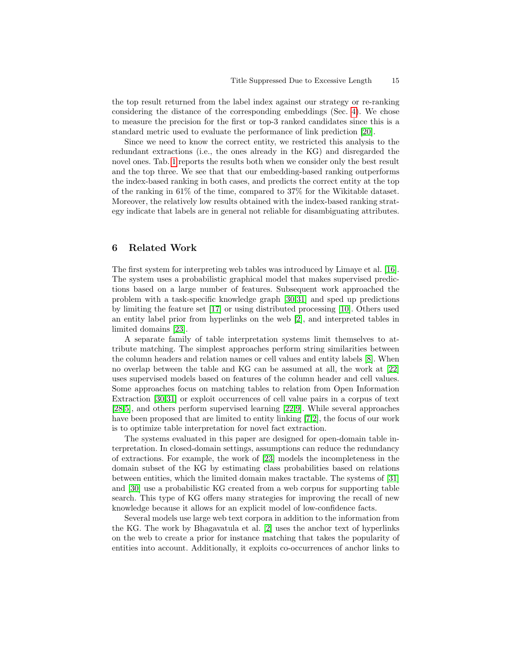the top result returned from the label index against our strategy or re-ranking considering the distance of the corresponding embeddings (Sec. [4\)](#page-7-1). We chose to measure the precision for the first or top-3 ranked candidates since this is a standard metric used to evaluate the performance of link prediction [\[20\]](#page-17-13).

Since we need to know the correct entity, we restricted this analysis to the redundant extractions (i.e., the ones already in the KG) and disregarded the novel ones. Tab. [1](#page-13-0) reports the results both when we consider only the best result and the top three. We see that that our embedding-based ranking outperforms the index-based ranking in both cases, and predicts the correct entity at the top of the ranking in 61% of the time, compared to 37% for the Wikitable dataset. Moreover, the relatively low results obtained with the index-based ranking strategy indicate that labels are in general not reliable for disambiguating attributes.

### <span id="page-14-0"></span>6 Related Work

The first system for interpreting web tables was introduced by Limaye et al. [\[16\]](#page-17-2). The system uses a probabilistic graphical model that makes supervised predictions based on a large number of features. Subsequent work approached the problem with a task-specific knowledge graph [\[30,](#page-17-10)[31\]](#page-17-16) and sped up predictions by limiting the feature set [\[17\]](#page-17-5) or using distributed processing [\[10\]](#page-16-7). Others used an entity label prior from hyperlinks on the web [\[2\]](#page-16-5), and interpreted tables in limited domains [\[23\]](#page-17-17).

A separate family of table interpretation systems limit themselves to attribute matching. The simplest approaches perform string similarities between the column headers and relation names or cell values and entity labels [\[8\]](#page-16-8). When no overlap between the table and KG can be assumed at all, the work at [\[22\]](#page-17-14) uses supervised models based on features of the column header and cell values. Some approaches focus on matching tables to relation from Open Information Extraction [\[30,](#page-17-10)[31\]](#page-17-16) or exploit occurrences of cell value pairs in a corpus of text [\[28](#page-17-7)[,5\]](#page-16-9), and others perform supervised learning [\[22,](#page-17-14)[9\]](#page-16-1). While several approaches have been proposed that are limited to entity linking [\[7,](#page-16-10)[2\]](#page-16-5), the focus of our work is to optimize table interpretation for novel fact extraction.

The systems evaluated in this paper are designed for open-domain table interpretation. In closed-domain settings, assumptions can reduce the redundancy of extractions. For example, the work of [\[23\]](#page-17-17) models the incompleteness in the domain subset of the KG by estimating class probabilities based on relations between entities, which the limited domain makes tractable. The systems of [\[31\]](#page-17-16) and [\[30\]](#page-17-10) use a probabilistic KG created from a web corpus for supporting table search. This type of KG offers many strategies for improving the recall of new knowledge because it allows for an explicit model of low-confidence facts.

Several models use large web text corpora in addition to the information from the KG. The work by Bhagavatula et al. [\[2\]](#page-16-5) uses the anchor text of hyperlinks on the web to create a prior for instance matching that takes the popularity of entities into account. Additionally, it exploits co-occurrences of anchor links to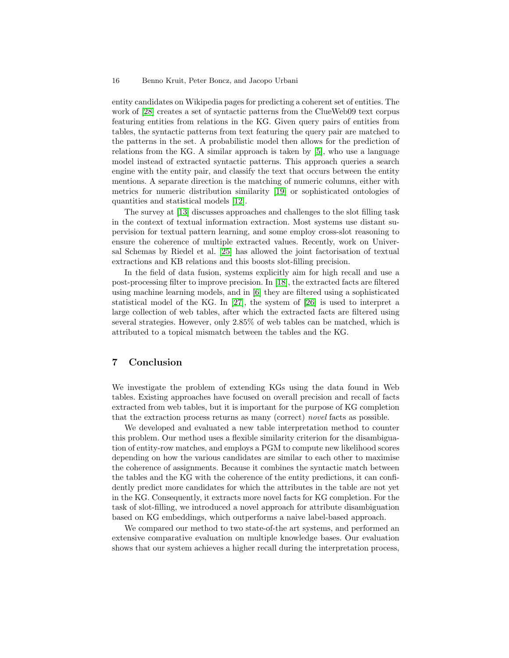entity candidates on Wikipedia pages for predicting a coherent set of entities. The work of [\[28\]](#page-17-7) creates a set of syntactic patterns from the ClueWeb09 text corpus featuring entities from relations in the KG. Given query pairs of entities from tables, the syntactic patterns from text featuring the query pair are matched to the patterns in the set. A probabilistic model then allows for the prediction of relations from the KG. A similar approach is taken by [\[5\]](#page-16-9), who use a language model instead of extracted syntactic patterns. This approach queries a search engine with the entity pair, and classify the text that occurs between the entity mentions. A separate direction is the matching of numeric columns, either with metrics for numeric distribution similarity [\[19\]](#page-17-18) or sophisticated ontologies of quantities and statistical models [\[12\]](#page-16-2).

The survey at [\[13\]](#page-16-11) discusses approaches and challenges to the slot filling task in the context of textual information extraction. Most systems use distant supervision for textual pattern learning, and some employ cross-slot reasoning to ensure the coherence of multiple extracted values. Recently, work on Universal Schemas by Riedel et al. [\[25\]](#page-17-19) has allowed the joint factorisation of textual extractions and KB relations and this boosts slot-filling precision.

In the field of data fusion, systems explicitly aim for high recall and use a post-processing filter to improve precision. In [\[18\]](#page-17-6), the extracted facts are filtered using machine learning models, and in [\[6\]](#page-16-12) they are filtered using a sophisticated statistical model of the KG. In [\[27\]](#page-17-3), the system of [\[26\]](#page-17-11) is used to interpret a large collection of web tables, after which the extracted facts are filtered using several strategies. However, only 2.85% of web tables can be matched, which is attributed to a topical mismatch between the tables and the KG.

### 7 Conclusion

We investigate the problem of extending KGs using the data found in Web tables. Existing approaches have focused on overall precision and recall of facts extracted from web tables, but it is important for the purpose of KG completion that the extraction process returns as many (correct) novel facts as possible.

We developed and evaluated a new table interpretation method to counter this problem. Our method uses a flexible similarity criterion for the disambiguation of entity-row matches, and employs a PGM to compute new likelihood scores depending on how the various candidates are similar to each other to maximise the coherence of assignments. Because it combines the syntactic match between the tables and the KG with the coherence of the entity predictions, it can confidently predict more candidates for which the attributes in the table are not yet in the KG. Consequently, it extracts more novel facts for KG completion. For the task of slot-filling, we introduced a novel approach for attribute disambiguation based on KG embeddings, which outperforms a naive label-based approach.

We compared our method to two state-of-the art systems, and performed an extensive comparative evaluation on multiple knowledge bases. Our evaluation shows that our system achieves a higher recall during the interpretation process,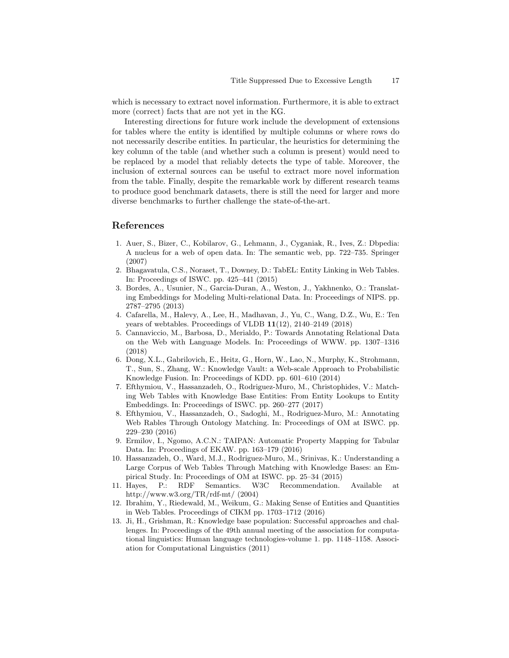which is necessary to extract novel information. Furthermore, it is able to extract more (correct) facts that are not yet in the KG.

Interesting directions for future work include the development of extensions for tables where the entity is identified by multiple columns or where rows do not necessarily describe entities. In particular, the heuristics for determining the key column of the table (and whether such a column is present) would need to be replaced by a model that reliably detects the type of table. Moreover, the inclusion of external sources can be useful to extract more novel information from the table. Finally, despite the remarkable work by different research teams to produce good benchmark datasets, there is still the need for larger and more diverse benchmarks to further challenge the state-of-the-art.

# References

- <span id="page-16-6"></span>1. Auer, S., Bizer, C., Kobilarov, G., Lehmann, J., Cyganiak, R., Ives, Z.: Dbpedia: A nucleus for a web of open data. In: The semantic web, pp. 722–735. Springer (2007)
- <span id="page-16-5"></span>2. Bhagavatula, C.S., Noraset, T., Downey, D.: TabEL: Entity Linking in Web Tables. In: Proceedings of ISWC. pp. 425–441 (2015)
- <span id="page-16-4"></span>3. Bordes, A., Usunier, N., Garcia-Duran, A., Weston, J., Yakhnenko, O.: Translating Embeddings for Modeling Multi-relational Data. In: Proceedings of NIPS. pp. 2787–2795 (2013)
- <span id="page-16-0"></span>4. Cafarella, M., Halevy, A., Lee, H., Madhavan, J., Yu, C., Wang, D.Z., Wu, E.: Ten years of webtables. Proceedings of VLDB 11(12), 2140–2149 (2018)
- <span id="page-16-9"></span>5. Cannaviccio, M., Barbosa, D., Merialdo, P.: Towards Annotating Relational Data on the Web with Language Models. In: Proceedings of WWW. pp. 1307–1316 (2018)
- <span id="page-16-12"></span>6. Dong, X.L., Gabrilovich, E., Heitz, G., Horn, W., Lao, N., Murphy, K., Strohmann, T., Sun, S., Zhang, W.: Knowledge Vault: a Web-scale Approach to Probabilistic Knowledge Fusion. In: Proceedings of KDD. pp. 601–610 (2014)
- <span id="page-16-10"></span>7. Efthymiou, V., Hassanzadeh, O., Rodriguez-Muro, M., Christophides, V.: Matching Web Tables with Knowledge Base Entities: From Entity Lookups to Entity Embeddings. In: Proceedings of ISWC. pp. 260–277 (2017)
- <span id="page-16-8"></span>8. Efthymiou, V., Hassanzadeh, O., Sadoghi, M., Rodriguez-Muro, M.: Annotating Web Rables Through Ontology Matching. In: Proceedings of OM at ISWC. pp. 229–230 (2016)
- <span id="page-16-1"></span>9. Ermilov, I., Ngomo, A.C.N.: TAIPAN: Automatic Property Mapping for Tabular Data. In: Proceedings of EKAW. pp. 163–179 (2016)
- <span id="page-16-7"></span>10. Hassanzadeh, O., Ward, M.J., Rodriguez-Muro, M., Srinivas, K.: Understanding a Large Corpus of Web Tables Through Matching with Knowledge Bases: an Empirical Study. In: Proceedings of OM at ISWC. pp. 25–34 (2015)
- <span id="page-16-3"></span>11. Hayes, P.: RDF Semantics. W3C Recommendation. Available at http://www.w3.org/TR/rdf-mt/ (2004)
- <span id="page-16-2"></span>12. Ibrahim, Y., Riedewald, M., Weikum, G.: Making Sense of Entities and Quantities in Web Tables. Proceedings of CIKM pp. 1703–1712 (2016)
- <span id="page-16-11"></span>13. Ji, H., Grishman, R.: Knowledge base population: Successful approaches and challenges. In: Proceedings of the 49th annual meeting of the association for computational linguistics: Human language technologies-volume 1. pp. 1148–1158. Association for Computational Linguistics (2011)